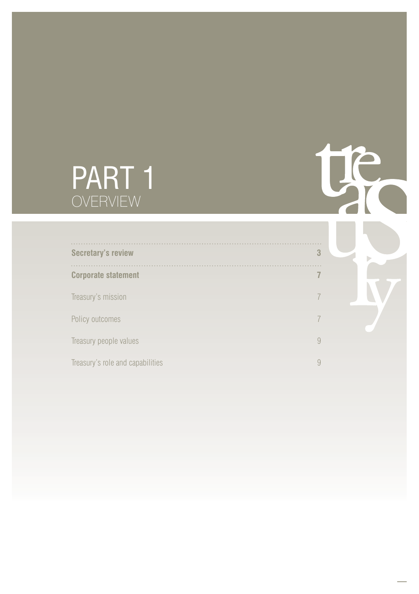# PART 1 OVERVIEW

| <b>Secretary's review</b>        | 3              |
|----------------------------------|----------------|
| <b>Corporate statement</b>       | $\overline{7}$ |
| Treasury's mission               | 7              |
| Policy outcomes                  | 7              |
| Treasury people values           | $\overline{Q}$ |
| Treasury's role and capabilities | 9              |

te

Þ

 $\ldots$ 

. . .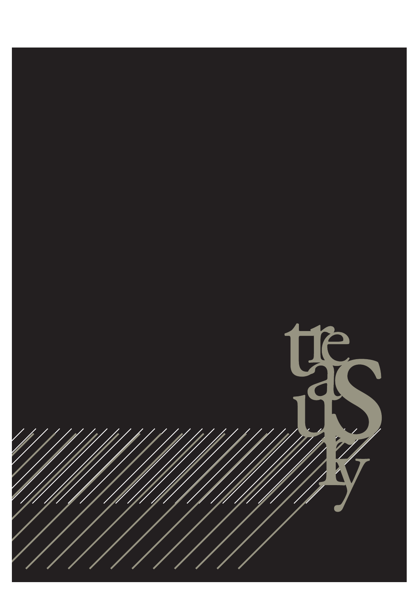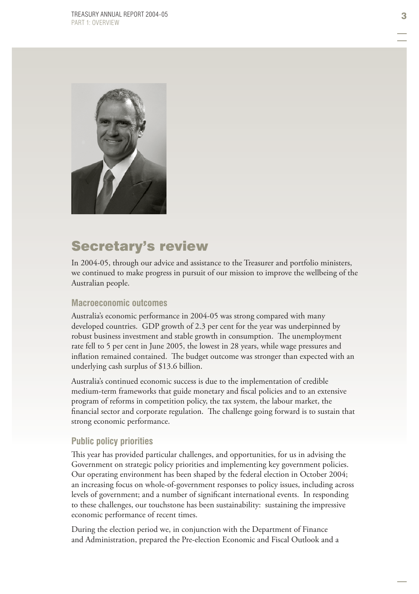

# Secretary's review

In 2004-05, through our advice and assistance to the Treasurer and portfolio ministers, we continued to make progress in pursuit of our mission to improve the wellbeing of the Australian people.

#### **Macroeconomic outcomes**

Australia's economic performance in 2004-05 was strong compared with many developed countries. GDP growth of 2.3 per cent for the year was underpinned by robust business investment and stable growth in consumption. The unemployment rate fell to 5 per cent in June 2005, the lowest in 28 years, while wage pressures and inflation remained contained. The budget outcome was stronger than expected with an underlying cash surplus of \$13.6 billion.

Australia's continued economic success is due to the implementation of credible medium-term frameworks that guide monetary and fiscal policies and to an extensive program of reforms in competition policy, the tax system, the labour market, the financial sector and corporate regulation. The challenge going forward is to sustain that strong economic performance.

#### **Public policy priorities**

This year has provided particular challenges, and opportunities, for us in advising the Government on strategic policy priorities and implementing key government policies. Our operating environment has been shaped by the federal election in October 2004; an increasing focus on whole-of-government responses to policy issues, including across levels of government; and a number of significant international events. In responding to these challenges, our touchstone has been sustainability: sustaining the impressive economic performance of recent times.

During the election period we, in conjunction with the Department of Finance and Administration, prepared the Pre-election Economic and Fiscal Outlook and a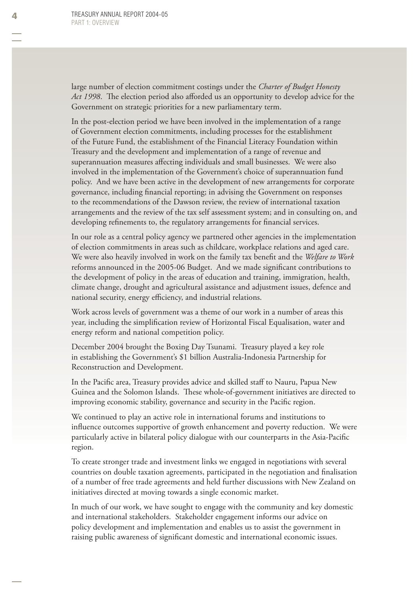large number of election commitment costings under the *Charter of Budget Honesty*  Act 1998. The election period also afforded us an opportunity to develop advice for the Government on strategic priorities for a new parliamentary term.

In the post-election period we have been involved in the implementation of a range of Government election commitments, including processes for the establishment of the Future Fund, the establishment of the Financial Literacy Foundation within Treasury and the development and implementation of a range of revenue and superannuation measures affecting individuals and small businesses. We were also involved in the implementation of the Government's choice of superannuation fund policy. And we have been active in the development of new arrangements for corporate governance, including financial reporting; in advising the Government on responses to the recommendations of the Dawson review, the review of international taxation arrangements and the review of the tax self assessment system; and in consulting on, and developing refinements to, the regulatory arrangements for financial services.

In our role as a central policy agency we partnered other agencies in the implementation of election commitments in areas such as childcare, workplace relations and aged care. We were also heavily involved in work on the family tax benefit and the *Welfare to Work* reforms announced in the 2005-06 Budget. And we made significant contributions to the development of policy in the areas of education and training, immigration, health, climate change, drought and agricultural assistance and adjustment issues, defence and national security, energy efficiency, and industrial relations.

Work across levels of government was a theme of our work in a number of areas this year, including the simplification review of Horizontal Fiscal Equalisation, water and energy reform and national competition policy.

December 2004 brought the Boxing Day Tsunami. Treasury played a key role in establishing the Government's \$1 billion Australia-Indonesia Partnership for Reconstruction and Development.

In the Pacific area, Treasury provides advice and skilled staff to Nauru, Papua New Guinea and the Solomon Islands. These whole-of-government initiatives are directed to improving economic stability, governance and security in the Pacific region.

We continued to play an active role in international forums and institutions to influence outcomes supportive of growth enhancement and poverty reduction. We were particularly active in bilateral policy dialogue with our counterparts in the Asia-Pacific region.

To create stronger trade and investment links we engaged in negotiations with several countries on double taxation agreements, participated in the negotiation and finalisation of a number of free trade agreements and held further discussions with New Zealand on initiatives directed at moving towards a single economic market.

In much of our work, we have sought to engage with the community and key domestic and international stakeholders. Stakeholder engagement informs our advice on policy development and implementation and enables us to assist the government in raising public awareness of significant domestic and international economic issues.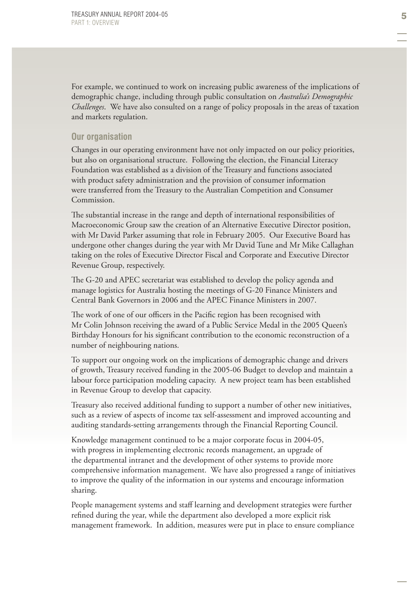For example, we continued to work on increasing public awareness of the implications of demographic change, including through public consultation on *Australia's Demographic Challenges*. We have also consulted on a range of policy proposals in the areas of taxation and markets regulation.

#### **Our organisation**

Changes in our operating environment have not only impacted on our policy priorities, but also on organisational structure. Following the election, the Financial Literacy Foundation was established as a division of the Treasury and functions associated with product safety administration and the provision of consumer information were transferred from the Treasury to the Australian Competition and Consumer Commission.

The substantial increase in the range and depth of international responsibilities of Macroeconomic Group saw the creation of an Alternative Executive Director position, with Mr David Parker assuming that role in February 2005. Our Executive Board has undergone other changes during the year with Mr David Tune and Mr Mike Callaghan taking on the roles of Executive Director Fiscal and Corporate and Executive Director Revenue Group, respectively.

The G-20 and APEC secretariat was established to develop the policy agenda and manage logistics for Australia hosting the meetings of G-20 Finance Ministers and Central Bank Governors in 2006 and the APEC Finance Ministers in 2007.

The work of one of our officers in the Pacific region has been recognised with Mr Colin Johnson receiving the award of a Public Service Medal in the 2005 Queen's Birthday Honours for his significant contribution to the economic reconstruction of a number of neighbouring nations.

To support our ongoing work on the implications of demographic change and drivers of growth, Treasury received funding in the 2005-06 Budget to develop and maintain a labour force participation modeling capacity. A new project team has been established in Revenue Group to develop that capacity.

Treasury also received additional funding to support a number of other new initiatives, such as a review of aspects of income tax self-assessment and improved accounting and auditing standards-setting arrangements through the Financial Reporting Council.

Knowledge management continued to be a major corporate focus in 2004-05, with progress in implementing electronic records management, an upgrade of the departmental intranet and the development of other systems to provide more comprehensive information management. We have also progressed a range of initiatives to improve the quality of the information in our systems and encourage information sharing.

People management systems and staff learning and development strategies were further refined during the year, while the department also developed a more explicit risk management framework. In addition, measures were put in place to ensure compliance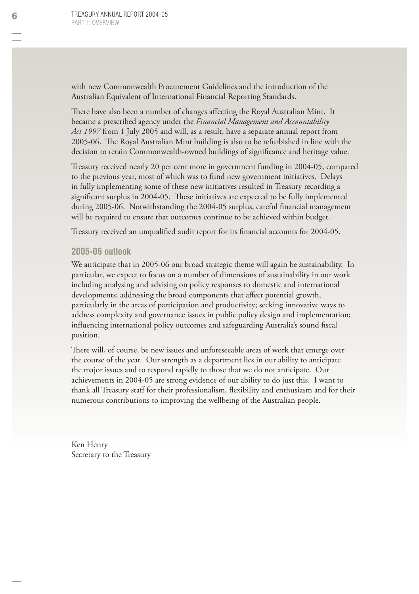with new Commonwealth Procurement Guidelines and the introduction of the Australian Equivalent of International Financial Reporting Standards.

There have also been a number of changes affecting the Royal Australian Mint. It became a prescribed agency under the *Financial Management and Accountability Act 1997* from 1 July 2005 and will, as a result, have a separate annual report from 2005-06. The Royal Australian Mint building is also to be refurbished in line with the decision to retain Commonwealth-owned buildings of significance and heritage value.

Treasury received nearly 20 per cent more in government funding in 2004-05, compared to the previous year, most of which was to fund new government initiatives. Delays in fully implementing some of these new initiatives resulted in Treasury recording a significant surplus in 2004-05. These initiatives are expected to be fully implemented during 2005-06. Notwithstanding the 2004-05 surplus, careful financial management will be required to ensure that outcomes continue to be achieved within budget.

Treasury received an unqualified audit report for its financial accounts for 2004-05.

#### **2005-06 outlook**

We anticipate that in 2005-06 our broad strategic theme will again be sustainability. In particular, we expect to focus on a number of dimensions of sustainability in our work including analysing and advising on policy responses to domestic and international developments; addressing the broad components that affect potential growth, particularly in the areas of participation and productivity; seeking innovative ways to address complexity and governance issues in public policy design and implementation; influencing international policy outcomes and safeguarding Australia's sound fiscal position.

There will, of course, be new issues and unforeseeable areas of work that emerge over the course of the year. Our strength as a department lies in our ability to anticipate the major issues and to respond rapidly to those that we do not anticipate. Our achievements in 2004-05 are strong evidence of our ability to do just this. I want to thank all Treasury staff for their professionalism, flexibility and enthusiasm and for their numerous contributions to improving the wellbeing of the Australian people.

Ken Henry Secretary to the Treasury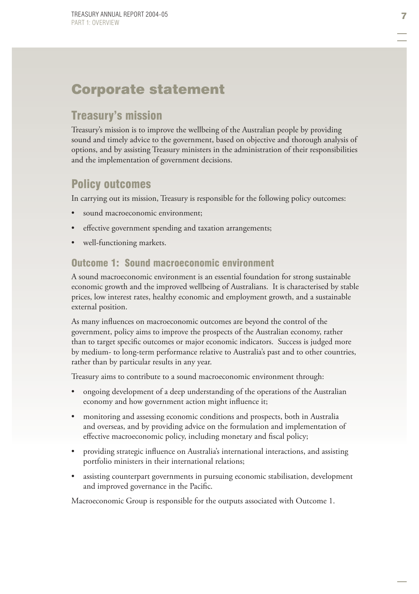# Corporate statement

# Treasury's mission

Treasury's mission is to improve the wellbeing of the Australian people by providing sound and timely advice to the government, based on objective and thorough analysis of options, and by assisting Treasury ministers in the administration of their responsibilities and the implementation of government decisions.

# Policy outcomes

In carrying out its mission, Treasury is responsible for the following policy outcomes:

- sound macroeconomic environment; •
- effective government spending and taxation arrangements; •
- well-functioning markets. •

#### Outcome 1: Sound macroeconomic environment

A sound macroeconomic environment is an essential foundation for strong sustainable economic growth and the improved wellbeing of Australians. It is characterised by stable prices, low interest rates, healthy economic and employment growth, and a sustainable external position.

As many influences on macroeconomic outcomes are beyond the control of the government, policy aims to improve the prospects of the Australian economy, rather than to target specific outcomes or major economic indicators. Success is judged more by medium- to long-term performance relative to Australia's past and to other countries, rather than by particular results in any year.

Treasury aims to contribute to a sound macroeconomic environment through:

- ongoing development of a deep understanding of the operations of the Australian economy and how government action might influence it; •
- monitoring and assessing economic conditions and prospects, both in Australia and overseas, and by providing advice on the formulation and implementation of effective macroeconomic policy, including monetary and fiscal policy; •
- providing strategic influence on Australia's international interactions, and assisting portfolio ministers in their international relations; •
- assisting counterpart governments in pursuing economic stabilisation, development and improved governance in the Pacific. •

Macroeconomic Group is responsible for the outputs associated with Outcome 1.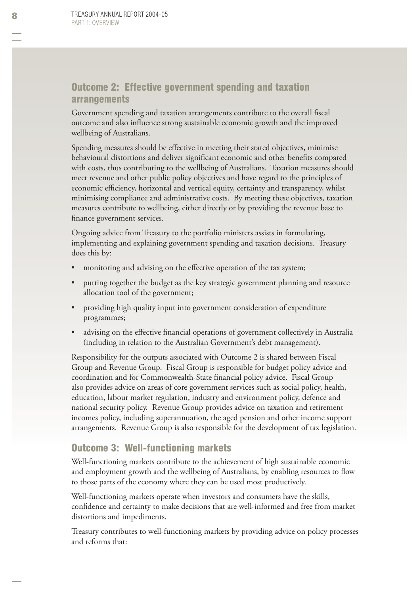#### Outcome 2: Effective government spending and taxation arrangements

Government spending and taxation arrangements contribute to the overall fiscal outcome and also influence strong sustainable economic growth and the improved wellbeing of Australians.

Spending measures should be effective in meeting their stated objectives, minimise behavioural distortions and deliver significant economic and other benefits compared with costs, thus contributing to the wellbeing of Australians. Taxation measures should meet revenue and other public policy objectives and have regard to the principles of economic efficiency, horizontal and vertical equity, certainty and transparency, whilst minimising compliance and administrative costs. By meeting these objectives, taxation measures contribute to wellbeing, either directly or by providing the revenue base to finance government services.

Ongoing advice from Treasury to the portfolio ministers assists in formulating, implementing and explaining government spending and taxation decisions. Treasury does this by:

- monitoring and advising on the effective operation of the tax system; •
- putting together the budget as the key strategic government planning and resource allocation tool of the government; •
- providing high quality input into government consideration of expenditure programmes; •
- advising on the effective financial operations of government collectively in Australia (including in relation to the Australian Government's debt management). •

Responsibility for the outputs associated with Outcome 2 is shared between Fiscal Group and Revenue Group. Fiscal Group is responsible for budget policy advice and coordination and for Commonwealth-State financial policy advice. Fiscal Group also provides advice on areas of core government services such as social policy, health, education, labour market regulation, industry and environment policy, defence and national security policy. Revenue Group provides advice on taxation and retirement incomes policy, including superannuation, the aged pension and other income support arrangements. Revenue Group is also responsible for the development of tax legislation.

#### Outcome 3: Well-functioning markets

Well-functioning markets contribute to the achievement of high sustainable economic and employment growth and the wellbeing of Australians, by enabling resources to flow to those parts of the economy where they can be used most productively.

Well-functioning markets operate when investors and consumers have the skills, confidence and certainty to make decisions that are well-informed and free from market distortions and impediments.

Treasury contributes to well-functioning markets by providing advice on policy processes and reforms that: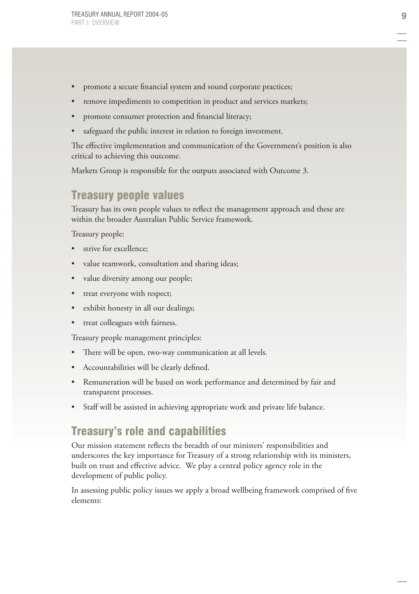- promote a secure financial system and sound corporate practices; •
- remove impediments to competition in product and services markets; •
- promote consumer protection and financial literacy; •
- safeguard the public interest in relation to foreign investment. •

The effective implementation and communication of the Government's position is also critical to achieving this outcome.

Markets Group is responsible for the outputs associated with Outcome 3.

# Treasury people values

Treasury has its own people values to reflect the management approach and these are within the broader Australian Public Service framework.

Treasury people:

- strive for excellence; •
- value teamwork, consultation and sharing ideas; •
- value diversity among our people; •
- treat everyone with respect; •
- exhibit honesty in all our dealings; •
- treat colleagues with fairness. •

Treasury people management principles:

- There will be open, two-way communication at all levels. •
- Accountabilities will be clearly defined. •
- Remuneration will be based on work performance and determined by fair and transparent processes. •
- Staff will be assisted in achieving appropriate work and private life balance. •

# Treasury's role and capabilities

Our mission statement reflects the breadth of our ministers' responsibilities and underscores the key importance for Treasury of a strong relationship with its ministers, built on trust and effective advice. We play a central policy agency role in the development of public policy.

In assessing public policy issues we apply a broad wellbeing framework comprised of five elements: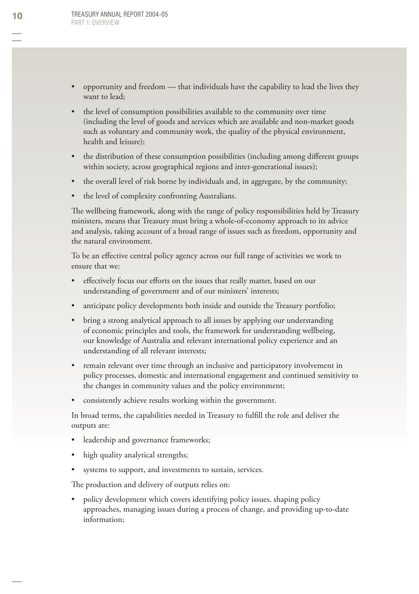- opportunity and freedom that individuals have the capability to lead the lives they want to lead; •
- the level of consumption possibilities available to the community over time (including the level of goods and services which are available and non-market goods such as voluntary and community work, the quality of the physical environment, health and leisure); •
- the distribution of these consumption possibilities (including among different groups within society, across geographical regions and inter-generational issues); •
- the overall level of risk borne by individuals and, in aggregate, by the community; •
- the level of complexity confronting Australians. •

The wellbeing framework, along with the range of policy responsibilities held by Treasury ministers, means that Treasury must bring a whole-of-economy approach to its advice and analysis, taking account of a broad range of issues such as freedom, opportunity and the natural environment.

To be an effective central policy agency across our full range of activities we work to ensure that we:

- effectively focus our efforts on the issues that really matter, based on our understanding of government and of our ministers' interests; •
- anticipate policy developments both inside and outside the Treasury portfolio; •
- bring a strong analytical approach to all issues by applying our understanding of economic principles and tools, the framework for understanding wellbeing, our knowledge of Australia and relevant international policy experience and an understanding of all relevant interests; •
- remain relevant over time through an inclusive and participatory involvement in policy processes, domestic and international engagement and continued sensitivity to the changes in community values and the policy environment; •
- consistently achieve results working within the government. •

In broad terms, the capabilities needed in Treasury to fulfill the role and deliver the outputs are:

- leadership and governance frameworks; •
- high quality analytical strengths; •
- systems to support, and investments to sustain, services. •

The production and delivery of outputs relies on:

policy development which covers identifying policy issues, shaping policy approaches, managing issues during a process of change, and providing up-to-date information; •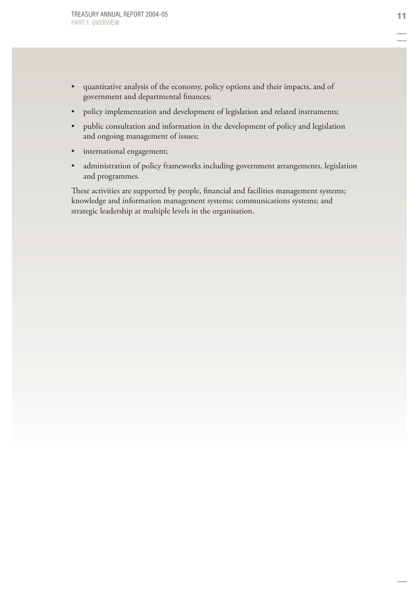- quantitative analysis of the economy, policy options and their impacts, and of government and departmental finances; •
- policy implementation and development of legislation and related instruments; •
- public consultation and information in the development of policy and legislation and ongoing management of issues; •
- international engagement; •
- administration of policy frameworks including government arrangements, legislation and programmes. •

These activities are supported by people, financial and facilities management systems; knowledge and information management systems; communications systems; and strategic leadership at multiple levels in the organisation.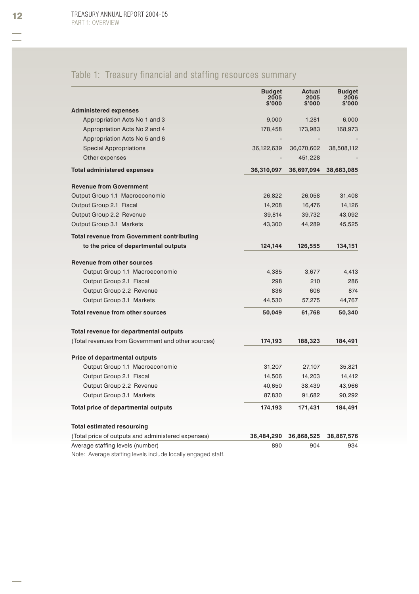# Table 1: Treasury financial and staffing resources summary

|                                                    | <b>Budget</b><br>2005<br>\$'000 | Actual<br>2005<br>\$'000 | <b>Budget</b><br>2006<br>\$'000 |
|----------------------------------------------------|---------------------------------|--------------------------|---------------------------------|
| <b>Administered expenses</b>                       |                                 |                          |                                 |
| Appropriation Acts No 1 and 3                      | 9,000                           | 1,281                    | 6,000                           |
| Appropriation Acts No 2 and 4                      | 178,458                         | 173,983                  | 168,973                         |
| Appropriation Acts No 5 and 6                      |                                 |                          |                                 |
| <b>Special Appropriations</b>                      | 36,122,639                      | 36,070,602               | 38,508,112                      |
| Other expenses                                     |                                 | 451,228                  |                                 |
| <b>Total administered expenses</b>                 | 36,310,097                      | 36,697,094               | 38,683,085                      |
| <b>Revenue from Government</b>                     |                                 |                          |                                 |
| Output Group 1.1 Macroeconomic                     | 26,822                          | 26,058                   | 31,408                          |
| Output Group 2.1 Fiscal                            | 14,208                          | 16,476                   | 14,126                          |
| Output Group 2.2 Revenue                           | 39,814                          | 39,732                   | 43,092                          |
| Output Group 3.1 Markets                           | 43,300                          | 44,289                   | 45,525                          |
| <b>Total revenue from Government contributing</b>  |                                 |                          |                                 |
| to the price of departmental outputs               | 124,144                         | 126,555                  | 134,151                         |
| Revenue from other sources                         |                                 |                          |                                 |
| Output Group 1.1 Macroeconomic                     | 4,385                           | 3,677                    | 4,413                           |
| Output Group 2.1 Fiscal                            | 298                             | 210                      | 286                             |
| Output Group 2.2 Revenue                           | 836                             | 606                      | 874                             |
| Output Group 3.1 Markets                           | 44,530                          | 57,275                   | 44,767                          |
| <b>Total revenue from other sources</b>            | 50,049                          | 61,768                   | 50,340                          |
| Total revenue for departmental outputs             |                                 |                          |                                 |
| (Total revenues from Government and other sources) | 174,193                         | 188,323                  | 184,491                         |
| <b>Price of departmental outputs</b>               |                                 |                          |                                 |
| Output Group 1.1 Macroeconomic                     | 31,207                          | 27,107                   | 35,821                          |
| Output Group 2.1 Fiscal                            | 14,506                          | 14,203                   | 14,412                          |
| Output Group 2.2 Revenue                           | 40,650                          | 38,439                   | 43,966                          |
| Output Group 3.1 Markets                           | 87,830                          | 91,682                   | 90,292                          |
| Total price of departmental outputs                | 174,193                         | 171,431                  | 184,491                         |
| <b>Total estimated resourcing</b>                  |                                 |                          |                                 |
| (Total price of outputs and administered expenses) | 36,484,290                      | 36,868,525               | 38,867,576                      |
| Average staffing levels (number)                   | 890                             | 904                      | 934                             |
|                                                    |                                 |                          |                                 |

Note: Average staffing levels include locally engaged staff.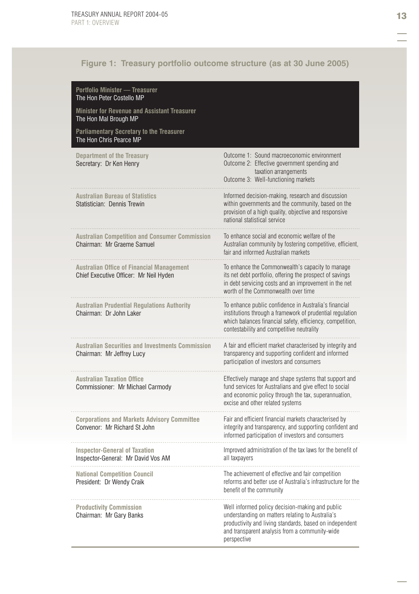### **Figure 1: Treasury portfolio outcome structure (as at 30 June 2005)**

| <b>Portfolio Minister - Treasurer</b><br>The Hon Peter Costello MP                         |                                                                                                                                                                                                                                 |
|--------------------------------------------------------------------------------------------|---------------------------------------------------------------------------------------------------------------------------------------------------------------------------------------------------------------------------------|
| <b>Minister for Revenue and Assistant Treasurer</b><br>The Hon Mal Brough MP               |                                                                                                                                                                                                                                 |
| <b>Parliamentary Secretary to the Treasurer</b><br>The Hon Chris Pearce MP                 |                                                                                                                                                                                                                                 |
| <b>Department of the Treasury</b><br>Secretary: Dr Ken Henry                               | Outcome 1: Sound macroeconomic environment<br>Outcome 2: Effective government spending and<br>taxation arrangements<br>Outcome 3: Well-functioning markets                                                                      |
| <b>Australian Bureau of Statistics</b><br>Statistician: Dennis Trewin                      | Informed decision-making, research and discussion<br>within governments and the community, based on the<br>provision of a high quality, objective and responsive<br>national statistical service                                |
| <b>Australian Competition and Consumer Commission</b><br>Chairman: Mr Graeme Samuel        | To enhance social and economic welfare of the<br>Australian community by fostering competitive, efficient,<br>fair and informed Australian markets                                                                              |
| <b>Australian Office of Financial Management</b><br>Chief Executive Officer: Mr Neil Hyden | To enhance the Commonwealth's capacity to manage<br>its net debt portfolio, offering the prospect of savings<br>in debt servicing costs and an improvement in the net<br>worth of the Commonwealth over time                    |
| <b>Australian Prudential Regulations Authority</b><br>Chairman: Dr John Laker              | To enhance public confidence in Australia's financial<br>institutions through a framework of prudential regulation<br>which balances financial safety, efficiency, competition,<br>contestability and competitive neutrality    |
| <b>Australian Securities and Investments Commission</b><br>Chairman: Mr Jeffrey Lucy       | A fair and efficient market characterised by integrity and<br>transparency and supporting confident and informed<br>participation of investors and consumers                                                                    |
| <b>Australian Taxation Office</b><br>Commissioner: Mr Michael Carmody                      | Effectively manage and shape systems that support and<br>fund services for Australians and give effect to social<br>and economic policy through the tax, superannuation,<br>excise and other related systems                    |
| <b>Corporations and Markets Advisory Committee</b><br>Convenor: Mr Richard St John         | Fair and efficient financial markets characterised by<br>integrity and transparency, and supporting confident and<br>informed participation of investors and consumers                                                          |
| <b>Inspector-General of Taxation</b><br>Inspector-General: Mr David Vos AM                 | Improved administration of the tax laws for the benefit of<br>all taxpayers                                                                                                                                                     |
| <b>National Competition Council</b><br>President: Dr Wendy Craik                           | The achievement of effective and fair competition<br>reforms and better use of Australia's infrastructure for the<br>benefit of the community                                                                                   |
| <b>Productivity Commission</b><br>Chairman: Mr Gary Banks                                  | Well informed policy decision-making and public<br>understanding on matters relating to Australia's<br>productivity and living standards, based on independent<br>and transparent analysis from a community-wide<br>perspective |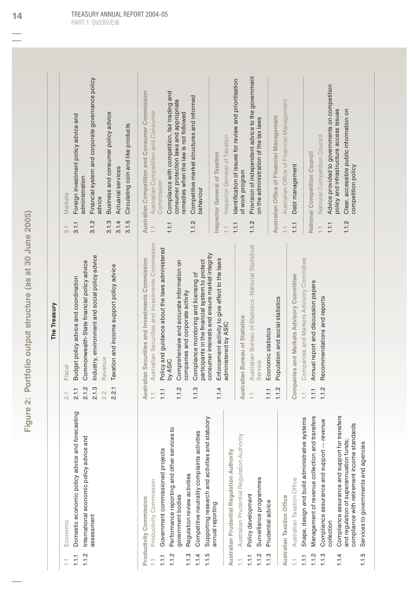**Figure 2: Portfolio output structure (as at 30 June 2005)**  Figure 2: Portfolio output structure (as at 30 June 2005)

|                         |                                                                                                                                          |                                   | The Treasury                                                                                                                                |                                  |                                                                                                                                                               |
|-------------------------|------------------------------------------------------------------------------------------------------------------------------------------|-----------------------------------|---------------------------------------------------------------------------------------------------------------------------------------------|----------------------------------|---------------------------------------------------------------------------------------------------------------------------------------------------------------|
| 1.1.2<br>1.1.1<br>Ξ     | forecasting<br>International economic policy advice and<br>Domestic economic policy advice and<br>Economic                               | 2.1.2<br>2.1.1<br>$\overline{21}$ | Commonwealth-State financial policy advice<br>Budget policy advice and coordination<br>Fiscal                                               | 3.1.1<br>$\overline{3}$          | Foreign investment policy advice and<br>administration<br>Markets                                                                                             |
|                         | assessment                                                                                                                               | 2.1.3<br>2.2.1<br>2.2             | Industry, environment and social policy advice<br>Taxation and income support policy advice<br>Revenue                                      | 3.1.4<br>3.1.5<br>3.1.2<br>3.1.3 | Financial system and corporate governance policy<br>Business and consumer policy advice<br>Circulating coin and like products<br>Actuarial services<br>advice |
|                         | Productivity Commission<br>Productivity Commission                                                                                       | H                                 | Australian Securities and Investments Commission<br>Australian Securities and Investments Commission                                        | H                                | Australian Competition and Consumer Commission<br>Australian Competition and Consumer                                                                         |
| 1.1.2<br>1.1.1          | Performance reporting and other services to<br>Government commissioned projects<br>government bodies                                     | 1.1.2<br>1.1.1                    | Policy and guidance about the laws administered<br>Comprehensive and accurate information on<br>companies and corporate activity<br>by ASIC | $1.1.1$                          | Compliance with competition, fair trading and<br>consumer protection laws and appropriate<br>remedies when the law is not followed<br>Commission              |
| 1.1.4<br>1.1.3<br>1.1.5 | statutory<br>dities<br>Competitive neutrality complaints activ<br>Supporting research and activities and<br>Regulation review activities | 1.1.3                             | consumer interests and ensure market integrity<br>participants in the financial system to protect<br>Compliance monitoring and licensing of | 1.1.2                            | Competitive market structures and informed<br>behaviour                                                                                                       |
|                         | Australian Prudential Regulation Authority<br>annual reporting                                                                           | 1.1.4                             | Enforcement activity to give effect to the laws<br>administered by ASIC                                                                     | Ħ                                | Inspector General of Taxation<br>Inspector General of Taxation                                                                                                |
| Ħ                       | Australian Prudential Regulation Authority                                                                                               |                                   | Australian Bureau of Statistics                                                                                                             | 1.1.1                            | Identification of issues for review and prioritisation<br>of work program                                                                                     |
| 1.1.2<br>1.1.1          | Surveillance programmes<br>Policy development                                                                                            | Ħ                                 | Australian Bureau of Statistics -National Statistical<br>Service                                                                            | 1.1.2                            | Provision of independent advice to the government<br>on the administration of the tax laws                                                                    |
| 1.1.3                   | <b>Australian Taxation Office</b><br>Prudential advice                                                                                   | 1.1.2<br>1.1.1                    | Population and social statistics<br>Economic statistics                                                                                     | H                                | Australian Office of Financial Management<br>Australian Office of Financial Management                                                                        |
| Ħ                       | Australian Taxation Office                                                                                                               |                                   | Companies and Markets Advisory Committee                                                                                                    | 1.1.1                            | Debt management                                                                                                                                               |
| 1.1.2<br>1.1.1          | transfers<br>systems<br>Shape, design and build administrative<br>Management of revenue collection and                                   | 1.1.1<br>Ħ                        | Companies and Markets Advisory Committee<br>Annual report and discussion papers                                                             |                                  | National Competition Council                                                                                                                                  |
| 1.1.3                   | revenue<br>Compliance assurance and support<br>collection                                                                                | 1.1.2                             | Recommendations and reports                                                                                                                 | $1.1.1$<br>Ħ                     | Advice provided to governments on competition<br>National Competition Council                                                                                 |
| 1.1.4                   | Compliance assurance and support for transfers<br>compliance with retirement income standards<br>and regulation of superannuation funds; |                                   |                                                                                                                                             | 1.1.2                            | policy and infrastructure access issues<br>Clear, accessible public information on<br>competition policy                                                      |
| 1.1.5                   | Services to governments and agencies                                                                                                     |                                   |                                                                                                                                             |                                  |                                                                                                                                                               |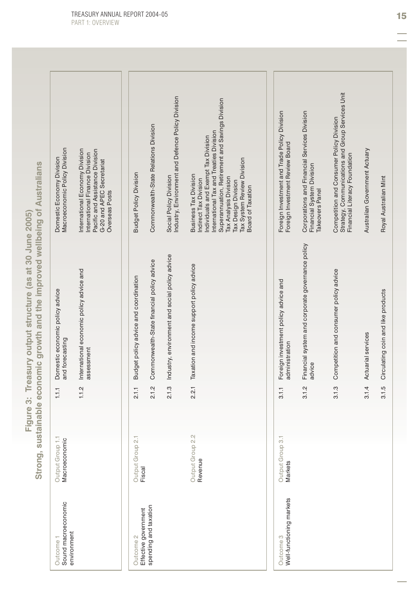| Sound macroeconomic<br>environment<br>Outcome 1 | Output Group 1.1<br>Macroeconomic | 1.1.1 | Domestic economic policy advice<br>and forecasting         | Macroeconomic Policy Division<br>Domestic Economy Division                                                                                                                                                                                                                                    |
|-------------------------------------------------|-----------------------------------|-------|------------------------------------------------------------|-----------------------------------------------------------------------------------------------------------------------------------------------------------------------------------------------------------------------------------------------------------------------------------------------|
|                                                 |                                   | 1.1.2 | International economic policy advice and<br>assessment     | International Economy Division<br>Pacific and Assistance Division<br>International Finance Division<br>G-20 and APEC Secretariat<br>Overseas Posts                                                                                                                                            |
| Effective government<br>Outcome 2               | Output Group 2.<br>Fiscal         | 2.1.1 | Budget policy advice and coordination                      | <b>Budget Policy Division</b>                                                                                                                                                                                                                                                                 |
| spending and taxation                           |                                   | 2.1.2 | Commonwealth-State financial policy advice                 | Commonwealth-State Relations Division                                                                                                                                                                                                                                                         |
|                                                 |                                   | 2.1.3 | Industry, environment and social policy advice             | Industry, Environment and Defence Policy Division<br>Social Policy Division                                                                                                                                                                                                                   |
|                                                 | Output Group 2.2<br>Revenue       | 2.2.1 | Taxation and income support policy advice                  | Superannuation, Retirement and Savings Division<br>International Tax and Treaties Division<br>Individuals and Exempt Tax Division<br>Tax System Review Division<br><b>Business Tax Division</b><br>Tax Analysis Division<br>Indirect Tax Division<br>Tax Design Division<br>Board of Taxation |
|                                                 |                                   |       |                                                            |                                                                                                                                                                                                                                                                                               |
| Well-functioning markets<br>Outcome 3           | Output Group 3.<br>Markets        | 3.1.1 | Foreign investment policy advice and<br>administration     | Foreign Investment and Trade Policy Division<br>Foreign Investment Review Board                                                                                                                                                                                                               |
|                                                 |                                   | 3.1.2 | Financial system and corporate governance policy<br>advice | Corporations and Financial Services Division<br>Financial System Division<br>Takeovers Panel                                                                                                                                                                                                  |
|                                                 |                                   | 3.1.3 | Competition and consumer policy advice                     | Strategy, Communications and Group Services Unit<br>Competition and Consumer Policy Division<br>Financial Literacy Foundation                                                                                                                                                                 |
|                                                 |                                   | 3.1.4 | Actuarial services                                         | Australian Government Actuary                                                                                                                                                                                                                                                                 |
|                                                 |                                   | 3.1.5 | Circulating coin and like products                         | Royal Australian Mint                                                                                                                                                                                                                                                                         |